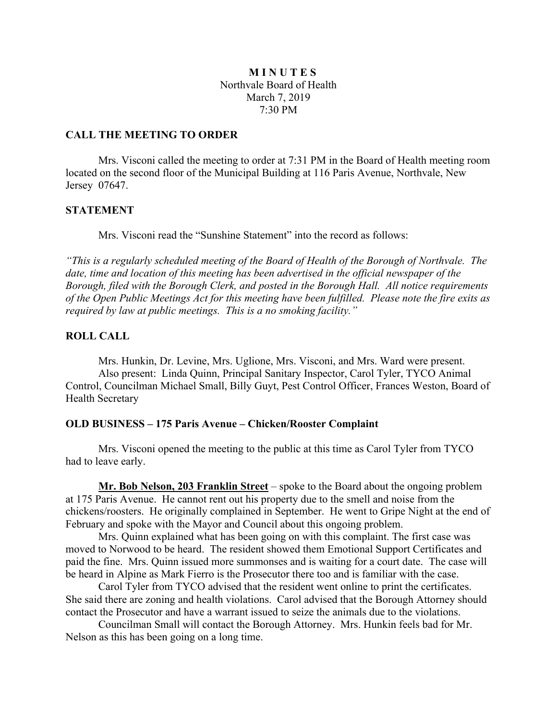# **M I N U T E S** Northvale Board of Health March 7, 2019 7:30 PM

## **CALL THE MEETING TO ORDER**

Mrs. Visconi called the meeting to order at 7:31 PM in the Board of Health meeting room located on the second floor of the Municipal Building at 116 Paris Avenue, Northvale, New Jersey 07647.

# **STATEMENT**

Mrs. Visconi read the "Sunshine Statement" into the record as follows:

*"This is a regularly scheduled meeting of the Board of Health of the Borough of Northvale. The date, time and location of this meeting has been advertised in the official newspaper of the Borough, filed with the Borough Clerk, and posted in the Borough Hall. All notice requirements of the Open Public Meetings Act for this meeting have been fulfilled. Please note the fire exits as required by law at public meetings. This is a no smoking facility."*

# **ROLL CALL**

Mrs. Hunkin, Dr. Levine, Mrs. Uglione, Mrs. Visconi, and Mrs. Ward were present. Also present: Linda Quinn, Principal Sanitary Inspector, Carol Tyler, TYCO Animal Control, Councilman Michael Small, Billy Guyt, Pest Control Officer, Frances Weston, Board of Health Secretary

# **OLD BUSINESS – 175 Paris Avenue – Chicken/Rooster Complaint**

Mrs. Visconi opened the meeting to the public at this time as Carol Tyler from TYCO had to leave early.

**Mr. Bob Nelson, 203 Franklin Street** – spoke to the Board about the ongoing problem at 175 Paris Avenue. He cannot rent out his property due to the smell and noise from the chickens/roosters. He originally complained in September. He went to Gripe Night at the end of February and spoke with the Mayor and Council about this ongoing problem.

Mrs. Quinn explained what has been going on with this complaint. The first case was moved to Norwood to be heard. The resident showed them Emotional Support Certificates and paid the fine. Mrs. Quinn issued more summonses and is waiting for a court date. The case will be heard in Alpine as Mark Fierro is the Prosecutor there too and is familiar with the case.

Carol Tyler from TYCO advised that the resident went online to print the certificates. She said there are zoning and health violations. Carol advised that the Borough Attorney should contact the Prosecutor and have a warrant issued to seize the animals due to the violations.

Councilman Small will contact the Borough Attorney. Mrs. Hunkin feels bad for Mr. Nelson as this has been going on a long time.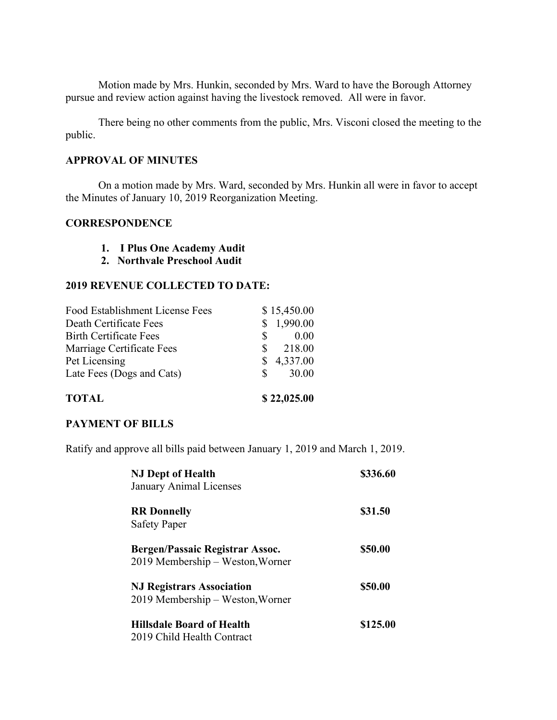Motion made by Mrs. Hunkin, seconded by Mrs. Ward to have the Borough Attorney pursue and review action against having the livestock removed. All were in favor.

There being no other comments from the public, Mrs. Visconi closed the meeting to the public.

# **APPROVAL OF MINUTES**

On a motion made by Mrs. Ward, seconded by Mrs. Hunkin all were in favor to accept the Minutes of January 10, 2019 Reorganization Meeting.

# **CORRESPONDENCE**

- **1. I Plus One Academy Audit**
- **2. Northvale Preschool Audit**

# **2019 REVENUE COLLECTED TO DATE:**

|    | \$22,025.00 |
|----|-------------|
| S. | 30.00       |
|    | 4,337.00    |
| S. | 218.00      |
| S  | 0.00        |
|    | 1,990.00    |
|    | \$15,450.00 |
|    |             |

# **PAYMENT OF BILLS**

Ratify and approve all bills paid between January 1, 2019 and March 1, 2019.

| <b>NJ Dept of Health</b><br>January Animal Licenses                  | \$336.60 |
|----------------------------------------------------------------------|----------|
| <b>RR</b> Donnelly<br><b>Safety Paper</b>                            | \$31.50  |
| Bergen/Passaic Registrar Assoc.<br>2019 Membership – Weston, Worner  | \$50.00  |
| <b>NJ Registrars Association</b><br>2019 Membership – Weston, Worner | \$50.00  |
| Hillsdale Board of Health<br>2019 Child Health Contract              | \$125.00 |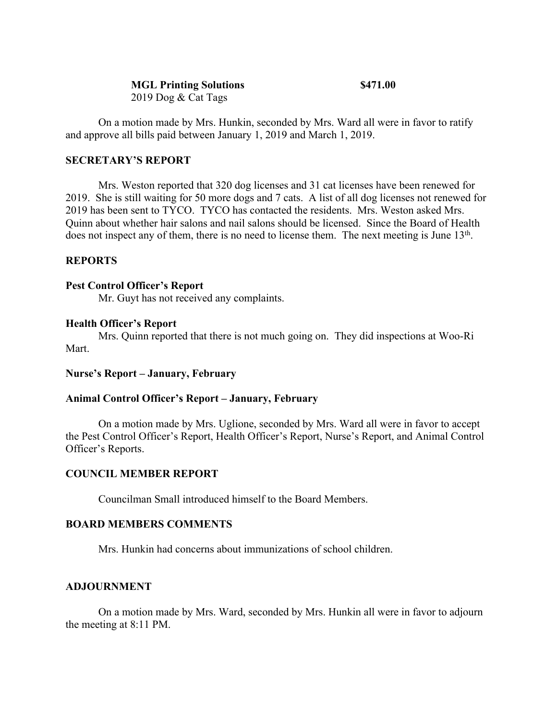## **MGL Printing Solutions \$471.00**

2019 Dog & Cat Tags

On a motion made by Mrs. Hunkin, seconded by Mrs. Ward all were in favor to ratify and approve all bills paid between January 1, 2019 and March 1, 2019.

# **SECRETARY'S REPORT**

Mrs. Weston reported that 320 dog licenses and 31 cat licenses have been renewed for 2019. She is still waiting for 50 more dogs and 7 cats. A list of all dog licenses not renewed for 2019 has been sent to TYCO. TYCO has contacted the residents. Mrs. Weston asked Mrs. Quinn about whether hair salons and nail salons should be licensed. Since the Board of Health does not inspect any of them, there is no need to license them. The next meeting is June 13<sup>th</sup>.

## **REPORTS**

## **Pest Control Officer's Report**

Mr. Guyt has not received any complaints.

### **Health Officer's Report**

Mrs. Quinn reported that there is not much going on. They did inspections at Woo-Ri Mart.

### **Nurse's Report – January, February**

### **Animal Control Officer's Report – January, February**

On a motion made by Mrs. Uglione, seconded by Mrs. Ward all were in favor to accept the Pest Control Officer's Report, Health Officer's Report, Nurse's Report, and Animal Control Officer's Reports.

## **COUNCIL MEMBER REPORT**

Councilman Small introduced himself to the Board Members.

### **BOARD MEMBERS COMMENTS**

Mrs. Hunkin had concerns about immunizations of school children.

## **ADJOURNMENT**

On a motion made by Mrs. Ward, seconded by Mrs. Hunkin all were in favor to adjourn the meeting at 8:11 PM.